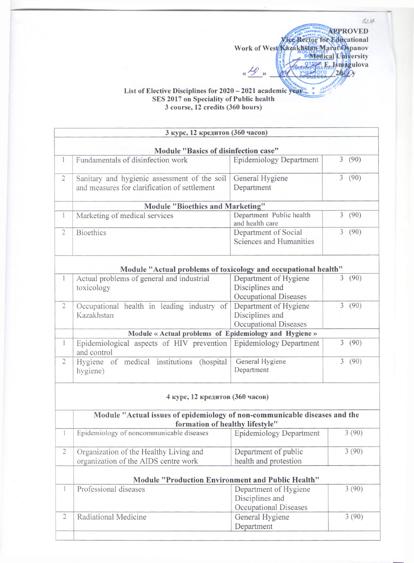APPROVED Work of West Kanadige Rector for Educational **Box Box 1999** En E<sub>u</sub> Ismagulova **« ^ »**  $2000$ ого

124

## List of Elective Disciplines for 2020 - 2021 academic year. **SES 2017 on Speciality of Public health 3 course, 12 credits (360 hours)**

|                | 3 курс, 12 кредитов (360 часов)                                                                               |                                                                   |                        |  |  |
|----------------|---------------------------------------------------------------------------------------------------------------|-------------------------------------------------------------------|------------------------|--|--|
|                | Module "Basics of disinfection case"                                                                          |                                                                   |                        |  |  |
| 1              | Fundamentals of disinfection work                                                                             | <b>Epidemiology Department</b>                                    | 3(90)                  |  |  |
| $\overline{2}$ | Sanitary and hygienic assessment of the soil<br>and measures for clarification of settlement                  | General Hygiene<br>Department                                     | 3(90)                  |  |  |
|                | Module "Bioethics and Marketing"                                                                              |                                                                   |                        |  |  |
| 1              | Marketing of medical services                                                                                 | Department Public health<br>and health care                       | 3(90)                  |  |  |
| $\overline{c}$ | <b>Bioethics</b>                                                                                              | Department of Social<br>Sciences and Humanities                   | $\overline{3}$<br>(90) |  |  |
|                | Module "Actual problems of toxicology and occupational health"                                                |                                                                   |                        |  |  |
| 1              | Actual problems of general and industrial<br>toxicology                                                       | Department of Hygiene<br>Disciplines and<br>Occupational Diseases | (90)<br>$\overline{3}$ |  |  |
| $\overline{c}$ | Occupational health in leading industry of<br>Kazakhstan                                                      | Department of Hygiene<br>Disciplines and<br>Occupational Diseases | 3(90)                  |  |  |
|                | Module « Actual problems of Epidemiology and Hygiene »                                                        |                                                                   |                        |  |  |
| 1              | Epidemiological aspects of HIV prevention<br>and control                                                      | <b>Epidemiology Department</b>                                    | 3<br>(90)              |  |  |
| $\overline{2}$ | Hygiene of medical institutions (hospital<br>hygiene)                                                         | General Hygiene<br>Department                                     | 3(90)                  |  |  |
|                | 4 курс, 12 кредитов (360 часов)                                                                               |                                                                   |                        |  |  |
|                | Module "Actual issues of epidemiology of non-communicable diseases and the<br>formation of healthy lifestyle" |                                                                   |                        |  |  |
| $\mathbf{1}$   | Epidemiology of noncommunicable diseases                                                                      | <b>Epidemiology Department</b>                                    | 3(90)                  |  |  |
| $\overline{c}$ | Organization of the Healthy Living and<br>organization of the AIDS centre work                                | Department of public<br>health and protestion                     | 3(90)                  |  |  |
|                | Module "Production Environment and Public Health"                                                             |                                                                   |                        |  |  |
| 1              | Professional diseases                                                                                         | Department of Hygiene<br>Disciplines and<br>Occupational Diseases | 3(90)                  |  |  |
| $\overline{2}$ | Radiational Medicine                                                                                          | General Hygiene<br>Department                                     | 3(90)                  |  |  |